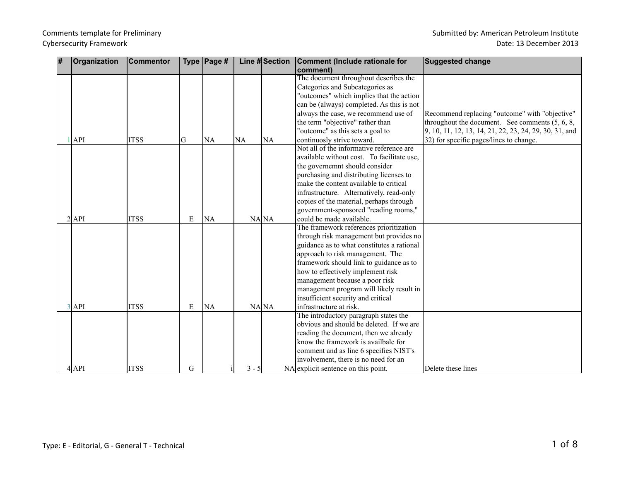## Comments template for Preliminary Submitted by: American Petroleum Institute Cybersecurity Framework **Date: 13 December 2013**

| $\overline{\boldsymbol{H}}$ | Organization | <b>Commentor</b> |           | Type $\vert$ Page # |           | Line #Section | <b>Comment (Include rationale for</b>      | <b>Suggested change</b>                                |
|-----------------------------|--------------|------------------|-----------|---------------------|-----------|---------------|--------------------------------------------|--------------------------------------------------------|
|                             |              |                  |           |                     |           |               | comment)                                   |                                                        |
|                             |              |                  |           |                     |           |               | The document throughout describes the      |                                                        |
|                             |              |                  |           |                     |           |               | Categories and Subcategories as            |                                                        |
|                             |              |                  |           |                     |           |               | "outcomes" which implies that the action   |                                                        |
|                             |              |                  |           |                     |           |               | can be (always) completed. As this is not  |                                                        |
|                             |              |                  |           |                     |           |               | always the case, we recommend use of       | Recommend replacing "outcome" with "objective"         |
|                             |              |                  |           |                     |           |               | the term "objective" rather than           | throughout the document. See comments (5, 6, 8,        |
|                             |              |                  |           |                     |           |               | "outcome" as this sets a goal to           | 9, 10, 11, 12, 13, 14, 21, 22, 23, 24, 29, 30, 31, and |
|                             | $1$ API      | <b>ITSS</b>      | G         | <b>NA</b>           | <b>NA</b> | <b>NA</b>     | continuosly strive toward.                 | 32) for specific pages/lines to change.                |
|                             |              |                  |           |                     |           |               | Not all of the informative reference are   |                                                        |
|                             |              |                  |           |                     |           |               | available without cost. To facilitate use, |                                                        |
|                             |              |                  |           |                     |           |               | the governemnt should consider             |                                                        |
|                             |              |                  |           |                     |           |               | purchasing and distributing licenses to    |                                                        |
|                             |              |                  |           |                     |           |               | make the content available to critical     |                                                        |
|                             |              |                  |           |                     |           |               | infrastructure. Alternatively, read-only   |                                                        |
|                             |              |                  |           |                     |           |               | copies of the material, perhaps through    |                                                        |
|                             |              |                  |           |                     |           |               | government-sponsored "reading rooms,"      |                                                        |
|                             | $2$ $API$    | <b>ITSS</b>      | E         | <b>NA</b>           |           | NANA          | could be made available.                   |                                                        |
|                             |              |                  |           |                     |           |               | The framework references prioritization    |                                                        |
|                             |              |                  |           |                     |           |               | through risk management but provides no    |                                                        |
|                             |              |                  |           |                     |           |               | guidance as to what constitutes a rational |                                                        |
|                             |              |                  |           |                     |           |               | approach to risk management. The           |                                                        |
|                             |              |                  |           |                     |           |               | framework should link to guidance as to    |                                                        |
|                             |              |                  |           |                     |           |               | how to effectively implement risk          |                                                        |
|                             |              |                  |           |                     |           |               | management because a poor risk             |                                                        |
|                             |              |                  |           |                     |           |               | management program will likely result in   |                                                        |
|                             |              |                  |           |                     |           |               | insufficient security and critical         |                                                        |
|                             | $3$ API      | <b>ITSS</b>      | ${\bf E}$ | <b>NA</b>           |           | NA NA         | infrastructure at risk.                    |                                                        |
|                             |              |                  |           |                     |           |               | The introductory paragraph states the      |                                                        |
|                             |              |                  |           |                     |           |               | obvious and should be deleted. If we are   |                                                        |
|                             |              |                  |           |                     |           |               | reading the document, then we already      |                                                        |
|                             |              |                  |           |                     |           |               | know the framework is availbale for        |                                                        |
|                             |              |                  |           |                     |           |               | comment and as line 6 specifies NIST's     |                                                        |
|                             |              |                  |           |                     |           |               | involvement, there is no need for an       |                                                        |
|                             | $4$ $API$    | <b>ITSS</b>      | G         |                     | $3 - 5$   |               | NA explicit sentence on this point.        | Delete these lines                                     |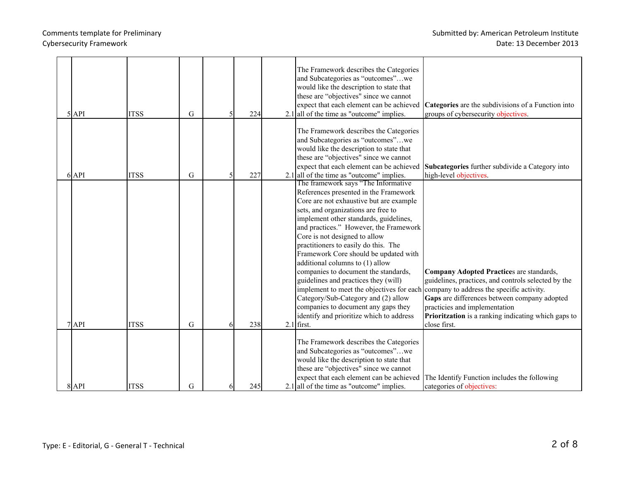| $5$ $API$ | <b>ITSS</b> | G |   | 224 |     | The Framework describes the Categories<br>and Subcategories as "outcomes"we<br>would like the description to state that<br>these are "objectives" since we cannot<br>expect that each element can be achieved<br>$2.1$ all of the time as "outcome" implies.                                                                                                                                                                                                                                                                                                                                                                                                              | <b>Categories</b> are the subdivisions of a Function into<br>groups of cybersecurity objectives.                                                                                                                                                                                                     |
|-----------|-------------|---|---|-----|-----|---------------------------------------------------------------------------------------------------------------------------------------------------------------------------------------------------------------------------------------------------------------------------------------------------------------------------------------------------------------------------------------------------------------------------------------------------------------------------------------------------------------------------------------------------------------------------------------------------------------------------------------------------------------------------|------------------------------------------------------------------------------------------------------------------------------------------------------------------------------------------------------------------------------------------------------------------------------------------------------|
| $6$ API   | <b>ITSS</b> | G | 5 | 227 |     | The Framework describes the Categories<br>and Subcategories as "outcomes"we<br>would like the description to state that<br>these are "objectives" since we cannot<br>expect that each element can be achieved<br>$2.1$ all of the time as "outcome" implies.                                                                                                                                                                                                                                                                                                                                                                                                              | Subcategories further subdivide a Category into<br>high-level objectives.                                                                                                                                                                                                                            |
| $7$ $API$ | <b>ITSS</b> | G |   | 238 | 2.1 | The framework says "The Informative"<br>References presented in the Framework<br>Core are not exhaustive but are example<br>sets, and organizations are free to<br>implement other standards, guidelines,<br>and practices." However, the Framework<br>Core is not designed to allow<br>practitioners to easily do this. The<br>Framework Core should be updated with<br>additional columns to (1) allow<br>companies to document the standards,<br>guidelines and practices they (will)<br>implement to meet the objectives for each<br>Category/Sub-Category and (2) allow<br>companies to document any gaps they<br>identify and prioritize which to address<br>first. | Company Adopted Practices are standards,<br>guidelines, practices, and controls selected by the<br>company to address the specific activity.<br>Gaps are differences between company adopted<br>practicies and implementation<br>Prioritzation is a ranking indicating which gaps to<br>close first. |
| $8$ $API$ | <b>ITSS</b> | G | 6 | 245 |     | The Framework describes the Categories<br>and Subcategories as "outcomes"we<br>would like the description to state that<br>these are "objectives" since we cannot<br>$2.1$ all of the time as "outcome" implies.                                                                                                                                                                                                                                                                                                                                                                                                                                                          | expect that each element can be achieved The Identify Function includes the following<br>categories of objectives:                                                                                                                                                                                   |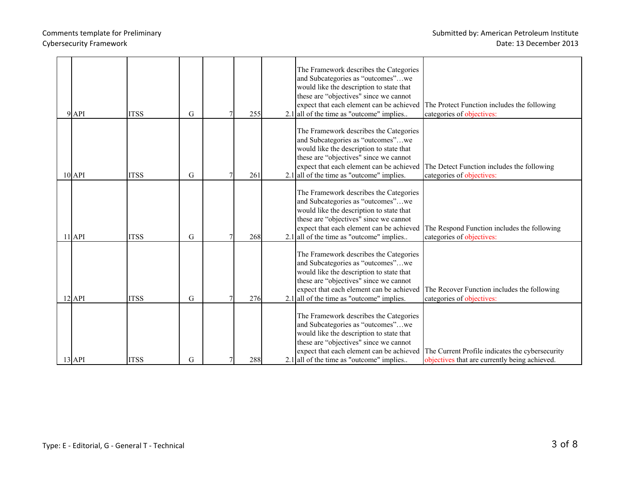|  |            |             |   |     | The Framework describes the Categories                                                 |                                                 |
|--|------------|-------------|---|-----|----------------------------------------------------------------------------------------|-------------------------------------------------|
|  |            |             |   |     | and Subcategories as "outcomes"we                                                      |                                                 |
|  |            |             |   |     | would like the description to state that                                               |                                                 |
|  |            |             |   |     | these are "objectives" since we cannot                                                 |                                                 |
|  | $9$ $API$  | <b>ITSS</b> | G | 255 | expect that each element can be achieved<br>$2.1$ all of the time as "outcome" implies | The Protect Function includes the following     |
|  |            |             |   |     |                                                                                        | categories of objectives:                       |
|  |            |             |   |     | The Framework describes the Categories                                                 |                                                 |
|  |            |             |   |     | and Subcategories as "outcomes"we                                                      |                                                 |
|  |            |             |   |     | would like the description to state that                                               |                                                 |
|  |            |             |   |     | these are "objectives" since we cannot                                                 |                                                 |
|  |            |             |   |     | expect that each element can be achieved                                               | The Detect Function includes the following      |
|  | $10$ API   | <b>ITSS</b> | G | 261 | $2.1$ all of the time as "outcome" implies.                                            | categories of objectives:                       |
|  |            |             |   |     |                                                                                        |                                                 |
|  |            |             |   |     | The Framework describes the Categories                                                 |                                                 |
|  |            |             |   |     | and Subcategories as "outcomes"we                                                      |                                                 |
|  |            |             |   |     | would like the description to state that                                               |                                                 |
|  |            |             |   |     | these are "objectives" since we cannot                                                 |                                                 |
|  |            |             |   |     | expect that each element can be achieved                                               | The Respond Function includes the following     |
|  | $11$ $API$ | <b>ITSS</b> | G | 268 | $2.1$ all of the time as "outcome" implies                                             | categories of objectives:                       |
|  |            |             |   |     |                                                                                        |                                                 |
|  |            |             |   |     | The Framework describes the Categories                                                 |                                                 |
|  |            |             |   |     | and Subcategories as "outcomes"we                                                      |                                                 |
|  |            |             |   |     | would like the description to state that                                               |                                                 |
|  |            |             |   |     | these are "objectives" since we cannot                                                 |                                                 |
|  |            |             |   |     | expect that each element can be achieved                                               | The Recover Function includes the following     |
|  | $12$ API   | <b>ITSS</b> | G | 276 | $2.1$ all of the time as "outcome" implies.                                            | categories of objectives:                       |
|  |            |             |   |     | The Framework describes the Categories                                                 |                                                 |
|  |            |             |   |     | and Subcategories as "outcomes"we                                                      |                                                 |
|  |            |             |   |     | would like the description to state that                                               |                                                 |
|  |            |             |   |     | these are "objectives" since we cannot                                                 |                                                 |
|  |            |             |   |     | expect that each element can be achieved                                               | The Current Profile indicates the cybersecurity |
|  | $13$ $API$ | <b>ITSS</b> | G | 288 | $2.1$ all of the time as "outcome" implies                                             | objectives that are currently being achieved.   |
|  |            |             |   |     |                                                                                        |                                                 |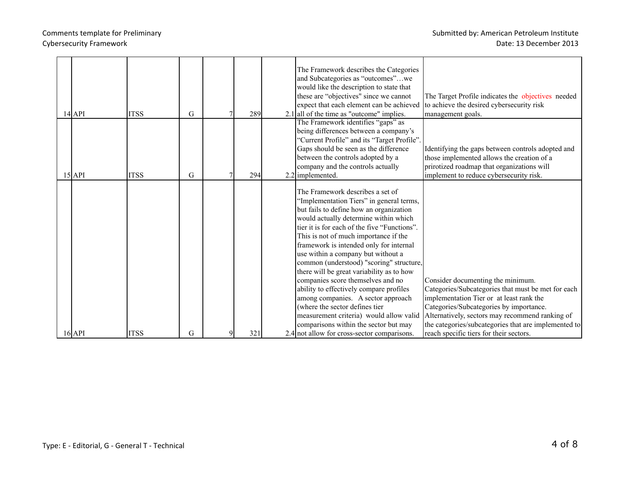# Comments template for Preliminary **Submitted by:** American Petroleum Institute Cybersecurity Framework **Date: 13 December 2013**

|  |            |             |   |     | The Framework describes the Categories<br>and Subcategories as "outcomes"we<br>would like the description to state that<br>these are "objectives" since we cannot | The Target Profile indicates the objectives needed   |
|--|------------|-------------|---|-----|-------------------------------------------------------------------------------------------------------------------------------------------------------------------|------------------------------------------------------|
|  | $14$ $API$ | <b>ITSS</b> | G | 289 | expect that each element can be achieved<br>$2.1$ all of the time as "outcome" implies.                                                                           | to achieve the desired cybersecurity risk            |
|  |            |             |   |     | The Framework identifies "gaps" as                                                                                                                                | management goals.                                    |
|  |            |             |   |     | being differences between a company's                                                                                                                             |                                                      |
|  |            |             |   |     | "Current Profile" and its "Target Profile".                                                                                                                       |                                                      |
|  |            |             |   |     | Gaps should be seen as the difference                                                                                                                             | Identifying the gaps between controls adopted and    |
|  |            |             |   |     | between the controls adopted by a                                                                                                                                 | those implemented allows the creation of a           |
|  |            |             |   |     | company and the controls actually                                                                                                                                 | prirotized roadmap that organizations will           |
|  | $15$ $API$ | <b>ITSS</b> | G | 294 | $2.2$ implemented.                                                                                                                                                | implement to reduce cybersecurity risk.              |
|  |            |             |   |     | The Framework describes a set of                                                                                                                                  |                                                      |
|  |            |             |   |     | 'Implementation Tiers'' in general terms,                                                                                                                         |                                                      |
|  |            |             |   |     | but fails to define how an organization                                                                                                                           |                                                      |
|  |            |             |   |     | would actually determine within which<br>tier it is for each of the five "Functions".                                                                             |                                                      |
|  |            |             |   |     |                                                                                                                                                                   |                                                      |
|  |            |             |   |     | This is not of much importance if the<br>framework is intended only for internal                                                                                  |                                                      |
|  |            |             |   |     | use within a company but without a                                                                                                                                |                                                      |
|  |            |             |   |     | common (understood) "scoring" structure,                                                                                                                          |                                                      |
|  |            |             |   |     | there will be great variability as to how                                                                                                                         |                                                      |
|  |            |             |   |     | companies score themselves and no                                                                                                                                 | Consider documenting the minimum.                    |
|  |            |             |   |     | ability to effectively compare profiles                                                                                                                           | Categories/Subcategories that must be met for each   |
|  |            |             |   |     | among companies. A sector approach                                                                                                                                | implementation Tier or at least rank the             |
|  |            |             |   |     | (where the sector defines tier                                                                                                                                    | Categories/Subcategories by importance.              |
|  |            |             |   |     | measurement criteria) would allow valid                                                                                                                           | Alternatively, sectors may recommend ranking of      |
|  |            |             |   |     | comparisons within the sector but may                                                                                                                             | the categories/subcategories that are implemented to |
|  | $16$ API   | <b>ITSS</b> | G | 321 | 2.4 not allow for cross-sector comparisons.                                                                                                                       | reach specific tiers for their sectors.              |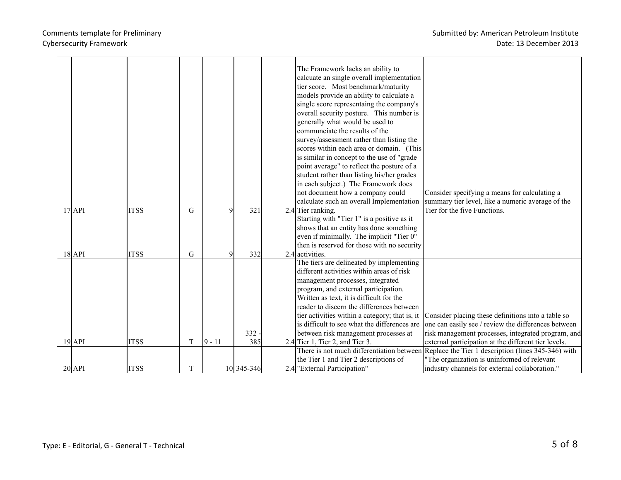|          | $17$ $API$          | <b>ITSS</b> | G |          | 321        | The Framework lacks an ability to<br>calcuate an single overall implementation<br>tier score. Most benchmark/maturity<br>models provide an ability to calculate a<br>single score representaing the company's<br>overall security posture. This number is<br>generally what would be used to<br>communciate the results of the<br>survey/assessment rather than listing the<br>scores within each area or domain. (This<br>is similar in concept to the use of "grade"<br>point average" to reflect the posture of a<br>student rather than listing his/her grades<br>in each subject.) The Framework does<br>not document how a company could<br>calculate such an overall Implementation<br>2.4 Tier ranking.<br>Starting with "Tier 1" is a positive as it<br>shows that an entity has done something | Consider specifying a means for calculating a<br>summary tier level, like a numeric average of the<br>Tier for the five Functions. |
|----------|---------------------|-------------|---|----------|------------|----------------------------------------------------------------------------------------------------------------------------------------------------------------------------------------------------------------------------------------------------------------------------------------------------------------------------------------------------------------------------------------------------------------------------------------------------------------------------------------------------------------------------------------------------------------------------------------------------------------------------------------------------------------------------------------------------------------------------------------------------------------------------------------------------------|------------------------------------------------------------------------------------------------------------------------------------|
|          |                     |             |   |          |            | even if minimally. The implicit "Tier 0"                                                                                                                                                                                                                                                                                                                                                                                                                                                                                                                                                                                                                                                                                                                                                                 |                                                                                                                                    |
|          |                     | <b>ITSS</b> |   |          |            | then is reserved for those with no security                                                                                                                                                                                                                                                                                                                                                                                                                                                                                                                                                                                                                                                                                                                                                              |                                                                                                                                    |
| $18$ API |                     |             | G |          | 332        | 2.4 activities.<br>The tiers are delineated by implementing                                                                                                                                                                                                                                                                                                                                                                                                                                                                                                                                                                                                                                                                                                                                              |                                                                                                                                    |
|          |                     |             |   |          |            | different activities within areas of risk                                                                                                                                                                                                                                                                                                                                                                                                                                                                                                                                                                                                                                                                                                                                                                |                                                                                                                                    |
|          |                     |             |   |          |            | management processes, integrated                                                                                                                                                                                                                                                                                                                                                                                                                                                                                                                                                                                                                                                                                                                                                                         |                                                                                                                                    |
|          |                     |             |   |          |            | program, and external participation.                                                                                                                                                                                                                                                                                                                                                                                                                                                                                                                                                                                                                                                                                                                                                                     |                                                                                                                                    |
|          |                     |             |   |          |            | Written as text, it is difficult for the                                                                                                                                                                                                                                                                                                                                                                                                                                                                                                                                                                                                                                                                                                                                                                 |                                                                                                                                    |
|          |                     |             |   |          |            | reader to discern the differences between                                                                                                                                                                                                                                                                                                                                                                                                                                                                                                                                                                                                                                                                                                                                                                |                                                                                                                                    |
|          |                     |             |   |          |            | tier activities within a category; that is, it                                                                                                                                                                                                                                                                                                                                                                                                                                                                                                                                                                                                                                                                                                                                                           | Consider placing these definitions into a table so                                                                                 |
|          |                     |             |   |          |            | is difficult to see what the differences are                                                                                                                                                                                                                                                                                                                                                                                                                                                                                                                                                                                                                                                                                                                                                             | one can easily see / review the differences between                                                                                |
|          |                     |             |   |          | 332        | between risk management processes at                                                                                                                                                                                                                                                                                                                                                                                                                                                                                                                                                                                                                                                                                                                                                                     | risk management processes, integrated program, and                                                                                 |
|          | $19$ <sup>API</sup> | <b>ITSS</b> | T | $9 - 11$ | 385        | $2.4$ Tier 1, Tier 2, and Tier 3.<br>There is not much differentiation between                                                                                                                                                                                                                                                                                                                                                                                                                                                                                                                                                                                                                                                                                                                           | external participation at the different tier levels.<br>Replace the Tier 1 description (lines 345-346) with                        |
|          |                     |             |   |          |            | the Tier 1 and Tier 2 descriptions of                                                                                                                                                                                                                                                                                                                                                                                                                                                                                                                                                                                                                                                                                                                                                                    | "The organization is uninformed of relevant                                                                                        |
|          | $20$ API            | <b>ITSS</b> | T |          | 10 345-346 | 2.4 "External Participation"                                                                                                                                                                                                                                                                                                                                                                                                                                                                                                                                                                                                                                                                                                                                                                             | industry channels for external collaboration."                                                                                     |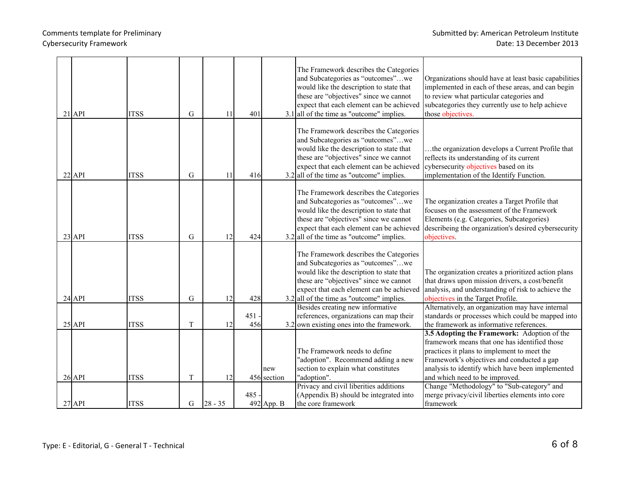|  | $21$ API   | <b>ITSS</b> | G | 11        | 401        |                    | The Framework describes the Categories<br>and Subcategories as "outcomes"we<br>would like the description to state that<br>these are "objectives" since we cannot<br>expect that each element can be achieved<br>$3.1$ all of the time as "outcome" implies. | Organizations should have at least basic capabilities<br>implemented in each of these areas, and can begin<br>to review what particular categories and<br>subcategories they currently use to help achieve<br>those objectives.                                                 |
|--|------------|-------------|---|-----------|------------|--------------------|--------------------------------------------------------------------------------------------------------------------------------------------------------------------------------------------------------------------------------------------------------------|---------------------------------------------------------------------------------------------------------------------------------------------------------------------------------------------------------------------------------------------------------------------------------|
|  | $22$ API   | <b>ITSS</b> | G | 11        | 416        |                    | The Framework describes the Categories<br>and Subcategories as "outcomes"we<br>would like the description to state that<br>these are "objectives" since we cannot<br>expect that each element can be achieved<br>$3.2$ all of the time as "outcome" implies. | the organization develops a Current Profile that<br>reflects its understanding of its current<br>cybersecurity objectives based on its<br>implementation of the Identify Function.                                                                                              |
|  | $23$ API   | <b>ITSS</b> | G | 12        | 424        |                    | The Framework describes the Categories<br>and Subcategories as "outcomes"we<br>would like the description to state that<br>these are "objectives" since we cannot<br>expect that each element can be achieved<br>$3.2$ all of the time as "outcome" implies. | The organization creates a Target Profile that<br>focuses on the assessment of the Framework<br>Elements (e.g. Categories, Subcategories)<br>describeing the organization's desired cybersecurity<br>objectives.                                                                |
|  | $24$ $API$ | <b>ITSS</b> | G | 12        | 428        |                    | The Framework describes the Categories<br>and Subcategories as "outcomes"we<br>would like the description to state that<br>these are "objectives" since we cannot<br>expect that each element can be achieved<br>$3.2$ all of the time as "outcome" implies. | The organization creates a prioritized action plans<br>that draws upon mission drivers, a cost/benefit<br>analysis, and understanding of risk to achieve the<br>objectives in the Target Profile.                                                                               |
|  | $25$ API   | <b>ITSS</b> | T | 12        | 451<br>456 |                    | Besides creating new informative<br>references, organizations can map their<br>$3.2$ own existing ones into the framework.                                                                                                                                   | Alternatively, an organization may have internal<br>standards or processes which could be mapped into<br>the framework as informative references.                                                                                                                               |
|  | $26$ API   | <b>ITSS</b> | T | 12        |            | new<br>456 section | The Framework needs to define<br>"adoption". Recommend adding a new<br>section to explain what constitutes<br>"adoption".                                                                                                                                    | 3.5 Adopting the Framework: Adoption of the<br>framework means that one has identified those<br>practices it plans to implement to meet the<br>Framework's objectives and conducted a gap<br>analysis to identify which have been implemented<br>and which need to be improved. |
|  | $27$ API   | <b>ITSS</b> | G | $28 - 35$ | 485        | 492 App. B         | Privacy and civil liberities additions<br>(Appendix B) should be integrated into<br>the core framework                                                                                                                                                       | Change "Methodology" to "Sub-category" and<br>merge privacy/civil liberties elements into core<br>framework                                                                                                                                                                     |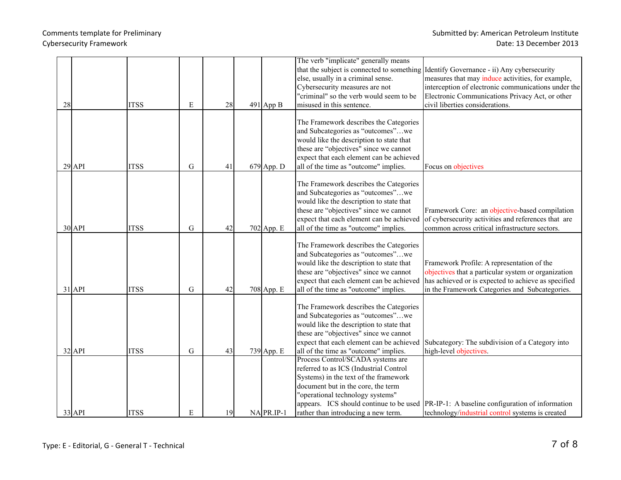|    |            |             |           |    |              | The verb "implicate" generally means                                              |                                                                                                          |
|----|------------|-------------|-----------|----|--------------|-----------------------------------------------------------------------------------|----------------------------------------------------------------------------------------------------------|
|    |            |             |           |    |              | that the subject is connected to something                                        | Identify Governance - ii) Any cybersecurity                                                              |
|    |            |             |           |    |              | else, usually in a criminal sense.<br>Cybersecurity measures are not              | measures that may induce activities, for example,<br>interception of electronic communications under the |
|    |            |             |           |    |              | "criminal" so the verb would seem to be                                           | Electronic Communications Privacy Act, or other                                                          |
| 28 |            | <b>ITSS</b> | E         | 28 | $491$ App B  | misused in this sentence.                                                         | civil liberties considerations.                                                                          |
|    |            |             |           |    |              |                                                                                   |                                                                                                          |
|    |            |             |           |    |              | The Framework describes the Categories                                            |                                                                                                          |
|    |            |             |           |    |              | and Subcategories as "outcomes"we                                                 |                                                                                                          |
|    |            |             |           |    |              | would like the description to state that                                          |                                                                                                          |
|    |            |             |           |    |              | these are "objectives" since we cannot                                            |                                                                                                          |
|    |            |             |           |    |              | expect that each element can be achieved                                          |                                                                                                          |
|    | $29$ API   | <b>ITSS</b> | G         | 41 | $679$ App. D | all of the time as "outcome" implies.                                             | Focus on objectives                                                                                      |
|    |            |             |           |    |              | The Framework describes the Categories                                            |                                                                                                          |
|    |            |             |           |    |              | and Subcategories as "outcomes"we                                                 |                                                                                                          |
|    |            |             |           |    |              | would like the description to state that                                          |                                                                                                          |
|    |            |             |           |    |              | these are "objectives" since we cannot                                            | Framework Core: an objective-based compilation                                                           |
|    |            |             |           |    |              | expect that each element can be achieved                                          | of cybersecurity activities and references that are                                                      |
|    | $30$ $API$ | <b>ITSS</b> | G         | 42 | 702 App. E   | all of the time as "outcome" implies.                                             | common across critical infrastructure sectors.                                                           |
|    |            |             |           |    |              |                                                                                   |                                                                                                          |
|    |            |             |           |    |              | The Framework describes the Categories                                            |                                                                                                          |
|    |            |             |           |    |              | and Subcategories as "outcomes"we                                                 |                                                                                                          |
|    |            |             |           |    |              | would like the description to state that                                          | Framework Profile: A representation of the                                                               |
|    |            |             |           |    |              | these are "objectives" since we cannot                                            | objectives that a particular system or organization                                                      |
|    | $31$ API   | <b>ITSS</b> |           | 42 |              | expect that each element can be achieved<br>all of the time as "outcome" implies. | has achieved or is expected to achieve as specified                                                      |
|    |            |             | ${\bf G}$ |    | 708 App. E   |                                                                                   | in the Framework Categories and Subcategories.                                                           |
|    |            |             |           |    |              | The Framework describes the Categories                                            |                                                                                                          |
|    |            |             |           |    |              | and Subcategories as "outcomes"we                                                 |                                                                                                          |
|    |            |             |           |    |              | would like the description to state that                                          |                                                                                                          |
|    |            |             |           |    |              | these are "objectives" since we cannot                                            |                                                                                                          |
|    |            |             |           |    |              | expect that each element can be achieved                                          | Subcategory: The subdivision of a Category into                                                          |
|    | $32$ API   | <b>ITSS</b> | G         | 43 | 739 App. E   | all of the time as "outcome" implies.                                             | high-level objectives.                                                                                   |
|    |            |             |           |    |              | Process Control/SCADA systems are                                                 |                                                                                                          |
|    |            |             |           |    |              | referred to as ICS (Industrial Control                                            |                                                                                                          |
|    |            |             |           |    |              | Systems) in the text of the framework                                             |                                                                                                          |
|    |            |             |           |    |              | document but in the core, the term                                                |                                                                                                          |
|    |            |             |           |    |              | "operational technology systems"                                                  |                                                                                                          |
|    |            |             |           |    |              | appears. ICS should continue to be used                                           | PR-IP-1: A baseline configuration of information                                                         |
|    | $33$ $API$ | <b>ITSS</b> | E         | 19 | $NA$ PR.IP-1 | rather than introducing a new term.                                               | technology/industrial control systems is created                                                         |